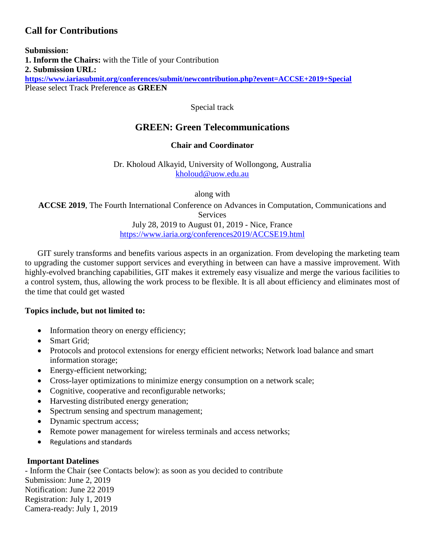## **Call for Contributions**

**Submission: 1. Inform the Chairs:** with the Title of your Contribution **2. Submission URL: <https://www.iariasubmit.org/conferences/submit/newcontribution.php?event=ACCSE+2019+Special>** Please select Track Preference as **GREEN**

Special track

# **GREEN: Green Telecommunications**

## **Chair and Coordinator**

Dr. Kholoud Alkayid, University of Wollongong, Australia [kholoud@uow.edu.au](mailto:kholoud@uow.edu.au)

along with

**ACCSE 2019**, The Fourth International Conference on Advances in Computation, Communications and Services July 28, 2019 to August 01, 2019 - Nice, France

<https://www.iaria.org/conferences2019/ACCSE19.html>

GIT surely transforms and benefits various aspects in an organization. From developing the marketing team to upgrading the customer support services and everything in between can have a massive improvement. With highly-evolved branching capabilities, GIT makes it extremely easy visualize and merge the various facilities to a control system, thus, allowing the work process to be flexible. It is all about efficiency and eliminates most of the time that could get wasted

## **Topics include, but not limited to:**

- Information theory on energy efficiency;
- Smart Grid:
- Protocols and protocol extensions for energy efficient networks; Network load balance and smart information storage;
- Energy-efficient networking;
- Cross-layer optimizations to minimize energy consumption on a network scale;
- Cognitive, cooperative and reconfigurable networks;
- Harvesting distributed energy generation;
- Spectrum sensing and spectrum management;
- Dynamic spectrum access;
- Remote power management for wireless terminals and access networks;
- Regulations and standards

## **Important Datelines**

- Inform the Chair (see Contacts below): as soon as you decided to contribute Submission: June 2, 2019 Notification: June 22 2019 Registration: July 1, 2019 Camera-ready: July 1, 2019